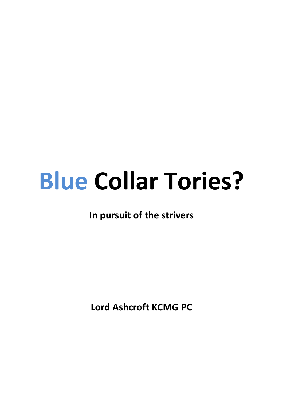# **Blue Collar Tories?**

**In pursuit of the strivers** 

**Lord Ashcroft KCMG PC**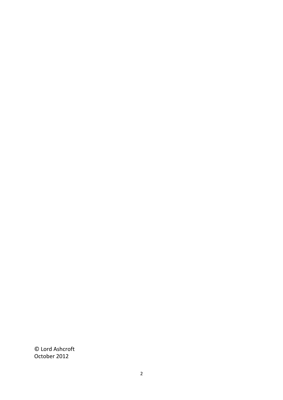© Lord Ashcroft October 2012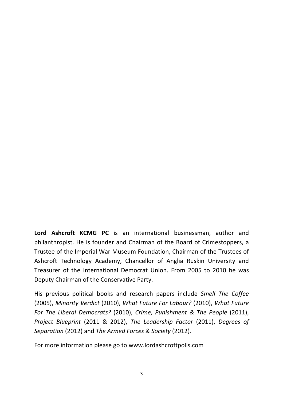Lord Ashcroft KCMG PC is an international businessman, author and philanthropist. He is founder and Chairman of the Board of Crimestoppers, a Trustee of the Imperial War Museum Foundation, Chairman of the Trustees of Ashcroft Technology Academy, Chancellor of Anglia Ruskin University and Treasurer of the International Democrat Union. From 2005 to 2010 he was Deputy Chairman of the Conservative Party.

His previous political books and research papers include Smell The Coffee (2005), Minority Verdict (2010), What Future For Labour? (2010), What Future *For The Liberal Democrats?* (2010), *Crime, Punishment & The People* (2011), *Project Blueprint* (2011 & 2012), *The Leadership Factor* (2011), *Degrees of Separation* (2012) and *The Armed Forces & Society* (2012).

For more information please go to www.lordashcroftpolls.com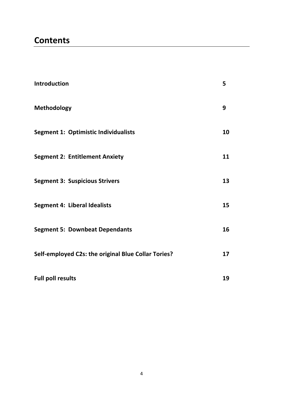# **Contents**

| Introduction                                        | 5  |
|-----------------------------------------------------|----|
| <b>Methodology</b>                                  | 9  |
| <b>Segment 1: Optimistic Individualists</b>         | 10 |
| <b>Segment 2: Entitlement Anxiety</b>               | 11 |
| <b>Segment 3: Suspicious Strivers</b>               | 13 |
| <b>Segment 4: Liberal Idealists</b>                 | 15 |
| <b>Segment 5: Downbeat Dependants</b>               | 16 |
| Self-employed C2s: the original Blue Collar Tories? | 17 |
| <b>Full poll results</b>                            | 19 |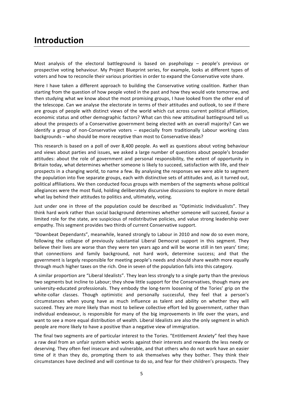# **Introduction**

Most analysis of the electoral battleground is based on psephology  $-$  people's previous or prospective voting behaviour. My Project Blueprint series, for example, looks at different types of voters and how to reconcile their various priorities in order to expand the Conservative vote share.

Here I have taken a different approach to building the Conservative voting coalition. Rather than starting from the question of how people voted in the past and how they would vote tomorrow, and then studying what we know about the most promising groups, I have looked from the other end of the telescope. Can we analyse the electorate in terms of their attitudes and outlook, to see if there are groups of people with distinct views of the world which cut across current political affiliation, economic status and other demographic factors? What can this new attitudinal battleground tell us about the prospects of a Conservative government being elected with an overall majority? Can we identify a group of non-Conservative voters  $-$  especially from traditionally Labour working class backgrounds – who should be more receptive than most to Conservative ideas?

This research is based on a poll of over 8,400 people. As well as questions about voting behaviour and views about parties and issues, we asked a large number of questions about people's broader attitudes: about the role of government and personal responsibility, the extent of opportunity in Britain today, what determines whether someone is likely to succeed, satisfaction with life, and their prospects in a changing world, to name a few. By analysing the responses we were able to segment the population into five separate groups, each with distinctive sets of attitudes and, as it turned out, political affiliations. We then conducted focus groups with members of the segments whose political allegiances were the most fluid, holding deliberately discursive discussions to explore in more detail what lay behind their attitudes to politics and, ultimately, voting.

Just under one in three of the population could be described as "Optimistic Individualists". They think hard work rather than social background determines whether someone will succeed, favour a limited role for the state, are suspicious of redistributive policies, and value strong leadership over empathy. This segment provides two thirds of current Conservative support.

"Downbeat Dependants", meanwhile, leaned strongly to Labour in 2010 and now do so even more, following the collapse of previously substantial Liberal Democrat support in this segment. They believe their lives are worse than they were ten years ago and will be worse still in ten years' time; that connections and family background, not hard work, determine success; and that the government is largely responsible for meeting people's needs and should share wealth more equally through much higher taxes on the rich. One in seven of the population falls into this category.

A similar proportion are "Liberal Idealists". They lean less strongly to a single party than the previous two segments but incline to Labour; they show little support for the Conservatives, though many are university-educated professionals. They embody the long-term loosening of the Tories' grip on the white-collar classes. Though optimistic and personally successful, they feel that a person's circumstances when young have as much influence as talent and ability on whether they will succeed. They are more likely than most to believe collective effort led by government, rather than individual endeavour, is responsible for many of the big improvements in life over the years, and want to see a more equal distribution of wealth. Liberal Idealists are also the only segment in which people are more likely to have a positive than a negative view of immigration.

The final two segments are of particular interest to the Tories. "Entitlement Anxiety" feel they have a raw deal from an unfair system which works against their interests and rewards the less needy or deserving. They often feel insecure and vulnerable, and that others who do not work have an easier time of it than they do, prompting them to ask themselves why they bother. They think their circumstances have declined and will continue to do so, and fear for their children's prospects. They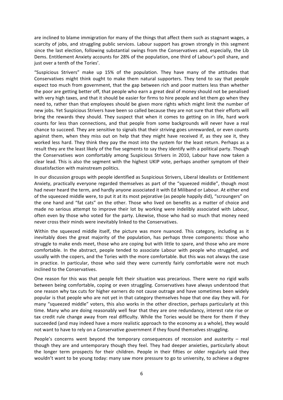are inclined to blame immigration for many of the things that affect them such as stagnant wages, a scarcity of jobs, and struggling public services. Labour support has grown strongly in this segment since the last election, following substantial swings from the Conservatives and, especially, the Lib Dems. Entitlement Anxiety accounts for 28% of the population, one third of Labour's poll share, and just over a tenth of the Tories'.

"Suspicious Strivers" make up 15% of the population. They have many of the attitudes that Conservatives might think ought to make them natural supporters. They tend to say that people expect too much from government, that the gap between rich and poor matters less than whether the poor are getting better off, that people who earn a great deal of money should not be penalised with very high taxes, and that it should be easier for firms to hire people and let them go when they need to, rather than that employees should be given more rights which might limit the number of new jobs. Yet Suspicious Strivers have been so called because they are not sure that their efforts will bring the rewards they should. They suspect that when it comes to getting on in life, hard work counts for less than connections, and that people from some backgrounds will never have a real chance to succeed. They are sensitive to signals that their striving goes unrewarded, or even counts against them, when they miss out on help that they might have received if, as they see it, they worked less hard. They think they pay the most into the system for the least return. Perhaps as a result they are the least likely of the five segments to say they identify with a political party. Though the Conservatives won comfortably among Suspicious Strivers in 2010, Labour have now taken a clear lead. This is also the segment with the highest UKIP vote, perhaps another symptom of their dissatisfaction with mainstream politics.

In our discussion groups with people identified as Suspicious Strivers, Liberal Idealists or Entitlement Anxiety, practically everyone regarded themselves as part of the "squeezed middle", though most had never heard the term, and hardly anyone associated it with Ed Miliband or Labour. At either end of the squeezed middle were, to put it at its most pejorative (as people happily did), "scroungers" on the one hand and "fat cats" on the other. Those who lived on benefits as a matter of choice and made no serious attempt to improve their lot by working were indelibly associated with Labour, often even by those who voted for the party. Likewise, those who had so much that money need never cross their minds were inevitably linked to the Conservatives.

Within the squeezed middle itself, the picture was more nuanced. This category, including as it inevitably does the great majority of the population, has perhaps three components: those who struggle to make ends meet, those who are coping but with little to spare, and those who are more comfortable. In the abstract, people tended to associate Labour with people who struggled, and usually with the copers, and the Tories with the more comfortable. But this was not always the case in practice. In particular, those who said they were currently fairly comfortable were not much inclined to the Conservatives.

One reason for this was that people felt their situation was precarious. There were no rigid walls between being comfortable, coping or even struggling. Conservatives have always understood that one reason why tax cuts for higher earners do not cause outrage and have sometimes been widely popular is that people who are not yet in that category themselves hope that one day they will. For many "squeezed middle" voters, this also works in the other direction, perhaps particularly at this time. Many who are doing reasonably well fear that they are one redundancy, interest rate rise or tax credit rule change away from real difficulty. While the Tories would be there for them if they succeeded (and may indeed have a more realistic approach to the economy as a whole), they would not want to have to rely on a Conservative government if they found themselves struggling.

People's concerns went beyond the temporary consequences of recession and austerity  $-$  real though they are and untemporary though they feel. They had deeper anxieties, particularly about the longer term prospects for their children. People in their fifties or older regularly said they wouldn't want to be young today: many saw more pressure to go to university, to achieve a degree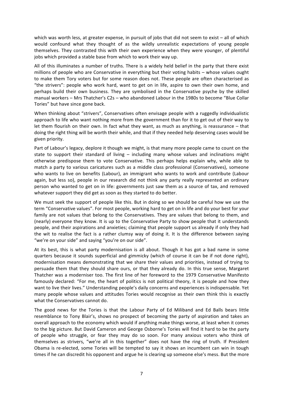which was worth less, at greater expense, in pursuit of jobs that did not seem to exist  $-$  all of which would confound what they thought of as the wildly unrealistic expectations of young people themselves. They contrasted this with their own experience when they were younger, of plentiful jobs which provided a stable base from which to work their way up.

All of this illuminates a number of truths. There is a widely held belief in the party that there exist millions of people who are Conservative in everything but their voting habits – whose values ought to make them Tory voters but for some reason does not. These people are often characterised as "the strivers": people who work hard, want to get on in life, aspire to own their own home, and perhaps build their own business. They are symbolised in the Conservative psyche by the skilled manual workers – Mrs Thatcher's C2s – who abandoned Labour in the 1980s to become "Blue Collar Tories" but have since gone back.

When thinking about "strivers", Conservatives often envisage people with a ruggedly individualistic approach to life who want nothing more from the government than for it to get out of their way to let them flourish on their own. In fact what they want, as much as anything, is reassurance  $-$  that doing the right thing will be worth their while, and that if they needed help deserving cases would be given priority.

Part of Labour's legacy, deplore it though we might, is that many more people came to count on the state to support their standard of living  $-$  including many whose values and inclinations might otherwise predispose them to vote Conservative. This perhaps helps explain why, while able to match a party to various caricatures such as a middle class professional (Conservatives), someone who wants to live on benefits (Labour), an immigrant who wants to work and contribute (Labour again, but less so), people in our research did not think any party really represented an ordinary person who wanted to get on in life: governments just saw them as a source of tax, and removed whatever support they did get as soon as they started to do better.

We must seek the support of people like this. But in doing so we should be careful how we use the term "Conservative values". For most people, working hard to get on in life and do your best for your family are not values that belong to the Conservatives. They are values that belong to them, and (nearly) everyone they know. It is up to the Conservative Party to show people that it understands people, and their aspirations and anxieties; claiming that people support us already if only they had the wit to realise the fact is a rather clumsy way of doing it. It is the difference between saying "we're on your side" and saying "you're on our side".

At its best, this is what party modernisation is all about. Though it has got a bad name in some quarters because it sounds superficial and gimmicky (which of course it can be if not done right), modernisation means demonstrating that we share their values and priorities, instead of trying to persuade them that they should share ours, or that they already do. In this true sense, Margaret Thatcher was a moderniser too. The first line of her foreword to the 1979 Conservative Manifesto famously declared: "For me, the heart of politics is not political theory, it is people and how they want to live their lives." Understanding people's daily concerns and experiences is indispensable. Yet many people whose values and attitudes Tories would recognise as their own think this is exactly what the Conservatives cannot do.

The good news for the Tories is that the Labour Party of Ed Miliband and Ed Balls bears little resemblance to Tony Blair's, shows no prospect of becoming the party of aspiration and takes an overall approach to the economy which would if anything make things worse, at least when it comes to the big picture. But David Cameron and George Osborne's Tories will find it hard to be the party of people who struggle, or fear they may do so soon. For many anxious voters who think of themselves as strivers, "we're all in this together" does not have the ring of truth. If President Obama is re-elected, some Tories will be tempted to say it shows an incumbent can win in tough times if he can discredit his opponent and argue he is clearing up someone else's mess. But the more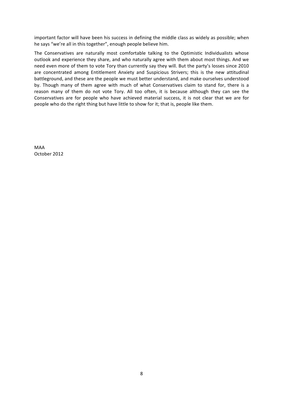important factor will have been his success in defining the middle class as widely as possible; when he says "we're all in this together", enough people believe him.

The Conservatives are naturally most comfortable talking to the Optimistic Individualists whose outlook and experience they share, and who naturally agree with them about most things. And we need even more of them to vote Tory than currently say they will. But the party's losses since 2010 are concentrated among Entitlement Anxiety and Suspicious Strivers; this is the new attitudinal battleground, and these are the people we must better understand, and make ourselves understood by. Though many of them agree with much of what Conservatives claim to stand for, there is a reason many of them do not vote Tory. All too often, it is because although they can see the Conservatives are for people who have achieved material success, it is not clear that we are for people who do the right thing but have little to show for it; that is, people like them.

MAA October 2012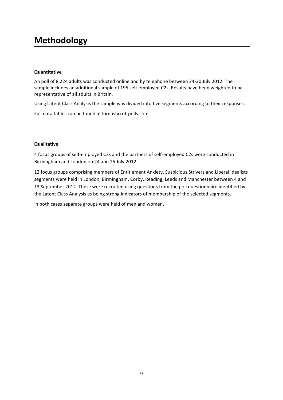# **Methodology**

### **Quantitative**

An poll of 8,224 adults was conducted online and by telephone between 24-30 July 2012. The sample includes an additional sample of 195 self-employed C2s. Results have been weighted to be representative of all adults in Britain.

Using Latent Class Analysis the sample was divided into five segments according to their responses.

Full data tables can be found at lordashcroftpolls.com

### **Qualitative**

4 focus groups of self-employed C2s and the partners of self-employed C2s were conducted in Birmingham and London on 24 and 25 July 2012.

12 focus groups comprising members of Entitlement Anxiety, Suspicious Strivers and Liberal Idealists segments were held in London, Birmingham, Corby, Reading, Leeds and Manchester between 4 and 13 September 2012. These were recruited using questions from the poll questionnaire identified by the Latent Class Analysis as being strong indicators of membership of the selected segments.

In both cases separate groups were held of men and women.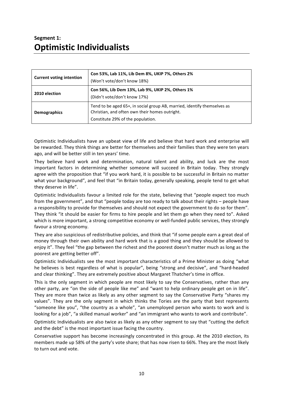## **Segment 1: Optimistic Individualists**

| <b>Current voting intention</b> | Con 53%, Lab 11%, Lib Dem 8%, UKIP 7%, Others 2%<br>(Won't vote/don't know 18%)                                                                                 |  |  |  |  |
|---------------------------------|-----------------------------------------------------------------------------------------------------------------------------------------------------------------|--|--|--|--|
| 2010 election                   | Con 56%, Lib Dem 13%, Lab 9%, UKIP 2%, Others 1%<br>(Didn't vote/don't know 17%)                                                                                |  |  |  |  |
| Demographics                    | Tend to be aged 65+, in social group AB, married, identify themselves as<br>Christian, and often own their homes outright.<br>Constitute 29% of the population. |  |  |  |  |

Optimistic Individualists have an upbeat view of life and believe that hard work and enterprise will be rewarded. They think things are better for themselves and their families than they were ten years ago, and will be better still in ten years' time.

They believe hard work and determination, natural talent and ability, and luck are the most important factors in determining whether someone will succeed in Britain today. They strongly agree with the proposition that "if you work hard, it is possible to be successful in Britain no matter what your background", and feel that "in Britain today, generally speaking, people tend to get what they deserve in life".

Optimistic Individualists favour a limited role for the state, believing that "people expect too much from the government", and that "people today are too ready to talk about their rights - people have a responsibility to provide for themselves and should not expect the government to do so for them". They think "it should be easier for firms to hire people and let them go when they need to". Asked which is more important, a strong competitive economy or well-funded public services, they strongly favour a strong economy.

They are also suspicious of redistributive policies, and think that "if some people earn a great deal of money through their own ability and hard work that is a good thing and they should be allowed to enjoy it". They feel "the gap between the richest and the poorest doesn't matter much as long as the poorest are getting better off".

Optimistic Individualists see the most important characteristics of a Prime Minister as doing "what he believes is best regardless of what is popular", being "strong and decisive", and "hard-headed and clear thinking". They are extremely positive about Margaret Thatcher's time in office.

This is the only segment in which people are most likely to say the Conservatives, rather than any other party, are "on the side of people like me" and "want to help ordinary people get on in life". They are more than twice as likely as any other segment to say the Conservative Party "shares my values". They are the only segment in which thinks the Tories are the party that best represents "someone like you", "the country as a whole", "an unemployed person who wants to work and is looking for a job", "a skilled manual worker" and "an immigrant who wants to work and contribute".

Optimistic Individualists are also twice as likely as any other segment to say that "cutting the deficit and the debt" is the most important issue facing the country.

Conservative support has become increasingly concentrated in this group. At the 2010 election, its members made up 58% of the party's vote share; that has now risen to 66%. They are the most likely to turn out and vote.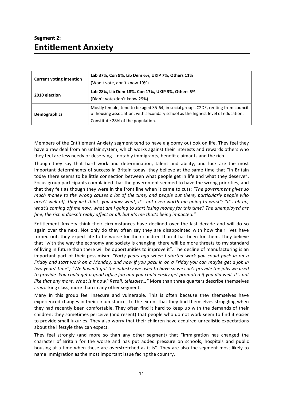### **Segment 2: Entitlement Anxiety**

| <b>Current voting intention</b> | Lab 37%, Con 9%, Lib Dem 6%, UKIP 7%, Others 11%<br>(Won't vote, don't know 19%)                                                                                                                           |  |  |  |  |
|---------------------------------|------------------------------------------------------------------------------------------------------------------------------------------------------------------------------------------------------------|--|--|--|--|
| 2010 election                   | Lab 28%, Lib Dem 18%, Con 17%, UKIP 3%, Others 5%<br>(Didn't vote/don't know 29%)                                                                                                                          |  |  |  |  |
| <b>Demographics</b>             | Mostly female, tend to be aged 35-64, in social groups C2DE, renting from council<br>of housing association, with secondary school as the highest level of education.<br>Constitute 28% of the population. |  |  |  |  |

Members of the Entitlement Anxiety segment tend to have a gloomy outlook on life. They feel they have a raw deal from an unfair system, which works against their interests and rewards others who they feel are less needy or deserving – notably immigrants, benefit claimants and the rich.

Though they say that hard work and determination, talent and ability, and luck are the most important determinants of success in Britain today, they believe at the same time that "in Britain today there seems to be little connection between what people get in life and what they deserve". Focus group participants complained that the government seemed to have the wrong priorities, and that they felt as though they were in the front line when it came to cuts: "The government gives so *much* money to the wrong causes a lot of the time, and people out there, particularly people who *aren't* well off, they just think, you know what, it's not even worth me going to work"; "It's oh no, what's coming off me now, what am I going to start losing money for this time? The unemployed are *fine, the rich it doesn't really affect at all, but it's me that's being impacted."* 

Entitlement Anxiety think their circumstances have declined over the last decade and will do so again over the next. Not only do they often say they are disappointed with how their lives have turned out, they expect life to be worse for their children than it has been for them. They believe that "with the way the economy and society is changing, there will be more threats to my standard of living in future than there will be opportunities to improve it". The decline of manufacturing is an important part of their pessimism: "Forty years ago when I started work you could pack in on a *Friday* and start work on a Monday, and now if you pack in on a Friday you can maybe get a job in *two* years' time"; "We haven't got the industry we used to have so we can't provide the jobs we used to provide. You could get a good office job and you could easily get promoted if you did well. It's not *like that any more. What is it now? Retail, telesales..."* More than three quarters describe themselves as working class, more than in any other segment.

Many in this group feel insecure and vulnerable. This is often because they themselves have experienced changes in their circumstances to the extent that they find themselves struggling when they had recently been comfortable. They often find it hard to keep up with the demands of their children; they sometimes perceive (and resent) that people who do not work seem to find it easier to provide small luxuries. They also worry that their children have acquired unrealistic expectations about the lifestyle they can expect.

They feel strongly (and more so than any other segment) that "immigration has changed the character of Britain for the worse and has put added pressure on schools, hospitals and public housing at a time when these are overstretched as it is". They are also the segment most likely to name immigration as the most important issue facing the country.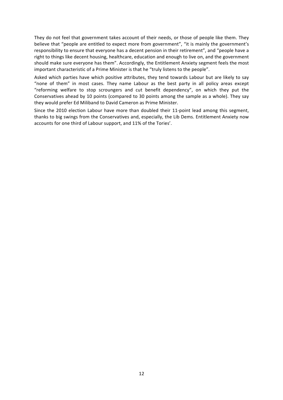They do not feel that government takes account of their needs, or those of people like them. They believe that "people are entitled to expect more from government", "it is mainly the government's responsibility to ensure that everyone has a decent pension in their retirement", and "people have a right to things like decent housing, healthcare, education and enough to live on, and the government should make sure everyone has them". Accordingly, the Entitlement Anxiety segment feels the most important characteristic of a Prime Minister is that he "truly listens to the people".

Asked which parties have which positive attributes, they tend towards Labour but are likely to say "none of them" in most cases. They name Labour as the best party in all policy areas except "reforming welfare to stop scroungers and cut benefit dependency", on which they put the Conservatives ahead by 10 points (compared to 30 points among the sample as a whole). They say they would prefer Ed Miliband to David Cameron as Prime Minister.

Since the 2010 election Labour have more than doubled their 11-point lead among this segment, thanks to big swings from the Conservatives and, especially, the Lib Dems. Entitlement Anxiety now accounts for one third of Labour support, and 11% of the Tories'.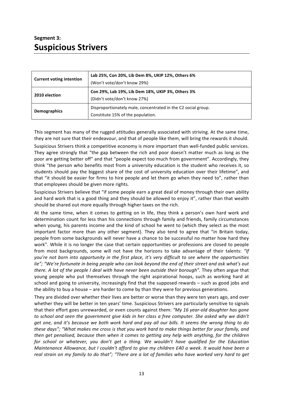### **Segment 3: Suspicious Strivers**

| <b>Current voting intention</b> | Lab 25%, Con 20%, Lib Dem 8%, UKIP 12%, Others 6%<br>(Won't vote/don't know 29%)                   |
|---------------------------------|----------------------------------------------------------------------------------------------------|
| 2010 election                   | Con 29%, Lab 19%, Lib Dem 18%, UKIP 3%, Others 3%<br>(Didn't vote/don't know 27%)                  |
| Demographics                    | Disproportionately male, concentrated in the C2 social group.<br>Constitute 15% of the population. |

This segment has many of the rugged attitudes generally associated with striving. At the same time, they are not sure that their endeavour, and that of people like them, will bring the rewards it should.

Suspicious Strivers think a competitive economy is more important than well-funded public services. They agree strongly that "the gap between the rich and poor doesn't matter much as long as the poor are getting better off" and that "people expect too much from government". Accordingly, they think "the person who benefits most from a university education is the student who receives it, so students should pay the biggest share of the cost of university education over their lifetime", and that "it should be easier for firms to hire people and let them go when they need to", rather than that employees should be given more rights.

Suspicious Strivers believe that "if some people earn a great deal of money through their own ability and hard work that is a good thing and they should be allowed to enjoy it", rather than that wealth should be shared out more equally through higher taxes on the rich.

At the same time, when it comes to getting on in life, they think a person's own hard work and determination count for less than his connections through family and friends, family circumstances when young, his parents income and the kind of school he went to (which they select as the most important factor more than any other segment). They also tend to agree that "in Britain today, people from some backgrounds will never have a chance to be successful no matter how hard they work". While it is no longer the case that certain opportunities or professions are closed to people from most backgrounds, some will not have the horizons to take advantage of their talents: "If *you're not born into opportunity in the first place, it's very difficult to see where the opportunities* lie": "We're fortunate in being people who can look beyond the end of their street and ask what's out *there.* A lot of the people I deal with have never been outside their borough". They often argue that young people who put themselves through the right aspirational hoops, such as working hard at school and going to university, increasingly find that the supposed rewards - such as good jobs and the ability to buy a house  $-$  are harder to come by than they were for previous generations.

They are divided over whether their lives are better or worse than they were ten years ago, and over whether they will be better in ten years' time. Suspicious Strivers are particularly sensitive to signals that their effort goes unrewarded, or even counts against them: "My 16 year-old daughter has gone to school and seen the government give kids in her class a free computer. She asked why we didn't *get one, and it's because we both work hard and pay all our bills. It seems the wrong thing to do these days";* "What makes me cross is that you work hard to make things better for your family, and then get penalised, because then when it comes to getting any help with anything, for the children for school or whatever, you don't get a thing. We wouldn't have qualified for the Education *Maintenance Allowance, but I couldn't afford to give my children £40 a week. It would have been a* real strain on my family to do that"; "There are a lot of families who have worked very hard to get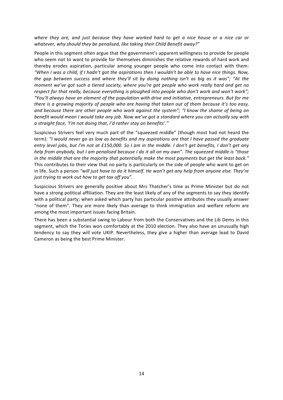where they are, and just because they have worked hard to get a nice house or a nice car or whatever, why should they be penalised, like taking their Child Benefit away?"

People in this segment often argue that the government's apparent willingness to provide for people who seem not to want to provide for themselves diminishes the relative rewards of hard work and thereby erodes aspiration, particular among younger people who come into contact with them: *"When I was a child, if I hadn't got the aspirations then I wouldn't be able to have nice things. Now, the gap between success and where they'll sit by doing nothing isn't as big as it was"; "At the moment* we've got such a tiered society, where you're got people who work really hard and get no *respect for that really, because everything is ploughed into people who don't work and won't work"; "You'll* always have an element of the population with drive and initiative, entrepreneurs. But for me *there is a growing majority of people who are having that taken out of them because it's too easy, and because there are other people who work against the system"; "I know the shame of being on benefit* would mean I would take any job. Now we've got a standard where you can actually say with *a* straight face, 'I'm not doing that, I'd rather stay on benefits'."

Suspicious Strivers feel very much part of the "squeezed middle" (though most had not heard the term): "I would never go as low as benefits and my aspirations are that I have passed the graduate entry level jobs, but I'm not at £150,000. So I am in the middle. I don't get benefits, I don't get any *help* from anybody, but I am penalised because I do it all on my own". The squeezed middle is "those in the middle that are the majority that potentially make the most payments but get the least back." This contributes to their view that no party is particularly on the side of people who want to get on in life. Such a person "will just have to do it himself. He won't get any help from anyone else. They're *just trying to work out how to get tax off you".* 

Suspicious Strivers are generally positive about Mrs Thatcher's time as Prime Minister but do not have a strong political affiliation. They are the least likely of any of the segments to say they identify with a political party; when asked which party has particular positive attributes they usually answer "none of them". They are more likely than average to think immigration and welfare reform are among the most important issues facing Britain.

There has been a substantial swing to Labour from both the Conservatives and the Lib Dems in this segment, which the Tories won comfortably at the 2010 election. They also have an unusually high tendency to say they will vote UKIP. Nevertheless, they give a higher than average lead to David Cameron as being the best Prime Minister.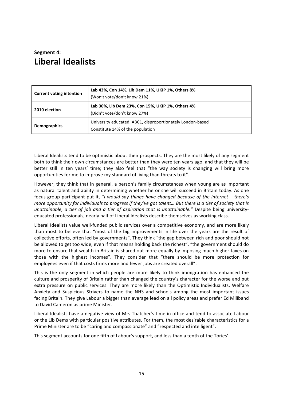### **Segment 4: Liberal Idealists**

| <b>Current voting intention</b> | Lab 43%, Con 14%, Lib Dem 11%, UKIP 1%, Others 8%<br>(Won't vote/don't know 21%)               |
|---------------------------------|------------------------------------------------------------------------------------------------|
| 2010 election                   | Lab 30%, Lib Dem 23%, Con 15%, UKIP 1%, Others 4%<br>(Didn't vote/don't know 27%)              |
| <b>Demographics</b>             | University educated, ABC1, disproportionately London-based<br>Constitute 14% of the population |

Liberal Idealists tend to be optimistic about their prospects. They are the most likely of any segment both to think their own circumstances are better than they were ten years ago, and that they will be better still in ten years' time; they also feel that "the way society is changing will bring more opportunities for me to improve my standard of living than threats to it".

However, they think that in general, a person's family circumstances when young are as important as natural talent and ability in determining whether he or she will succeed in Britain today. As one focus group participant put it, *"I* would say things have changed because of the internet – there's *more opportunity for individuals to progress if they've got talent... But there is a tier of society that is unattainable, a tier of job and a tier of aspiration that is unattainable."* Despite being universityeducated professionals, nearly half of Liberal Idealists describe themselves as working class.

Liberal Idealists value well-funded public services over a competitive economy, and are more likely than most to believe that "most of the big improvements in life over the years are the result of collective efforts, often led by governments". They think "the gap between rich and poor should not be allowed to get too wide, even if that means holding back the richest", "the government should do more to ensure that wealth in Britain is shared out more equally by imposing much higher taxes on those with the highest incomes". They consider that "there should be more protection for employees even if that costs firms more and fewer jobs are created overall".

This is the only segment in which people are more likely to think immigration has enhanced the culture and prosperity of Britain rather than changed the country's character for the worse and put extra pressure on public services. They are more likely than the Optimistic Individualists, Welfare Anxiety and Suspicious Strivers to name the NHS and schools among the most important issues facing Britain. They give Labour a bigger than average lead on all policy areas and prefer Ed Miliband to David Cameron as prime Minister.

Liberal Idealists have a negative view of Mrs Thatcher's time in office and tend to associate Labour or the Lib Dems with particular positive attributes. For them, the most desirable characteristics for a Prime Minister are to be "caring and compassionate" and "respected and intelligent".

This segment accounts for one fifth of Labour's support, and less than a tenth of the Tories'.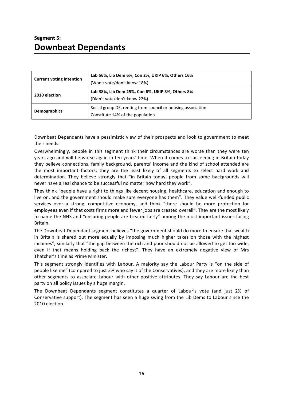## **Segment 5: Downbeat Dependants**

| <b>Current voting intention</b> | Lab 56%, Lib Dem 6%, Con 2%, UKIP 6%, Others 16%<br>(Won't vote/don't know 18%)                  |
|---------------------------------|--------------------------------------------------------------------------------------------------|
| 2010 election                   | Lab 38%, Lib Dem 25%, Con 6%, UKIP 3%, Others 8%<br>(Didn't vote/don't know 22%)                 |
| <b>Demographics</b>             | Social group DE, renting from council or housing association<br>Constitute 14% of the population |

Downbeat Dependants have a pessimistic view of their prospects and look to government to meet their needs.

Overwhelmingly, people in this segment think their circumstances are worse than they were ten years ago and will be worse again in ten years' time. When it comes to succeeding in Britain today they believe connections, family background, parents' income and the kind of school attended are the most important factors; they are the least likely of all segments to select hard work and determination. They believe strongly that "in Britain today, people from some backgrounds will never have a real chance to be successful no matter how hard they work".

They think "people have a right to things like decent housing, healthcare, education and enough to live on, and the government should make sure everyone has them". They value well-funded public services over a strong, competitive economy, and think "there should be more protection for employees even if that costs firms more and fewer jobs are created overall". They are the most likely to name the NHS and "ensuring people are treated fairly" among the most important issues facing Britain.

The Downbeat Dependant segment believes "the government should do more to ensure that wealth in Britain is shared out more equally by imposing much higher taxes on those with the highest incomes"; similarly that "the gap between the rich and poor should not be allowed to get too wide, even if that means holding back the richest". They have an extremely negative view of Mrs Thatcher's time as Prime Minister.

This segment strongly identifies with Labour. A majority say the Labour Party is "on the side of people like me" (compared to just 2% who say it of the Conservatives), and they are more likely than other segments to associate Labour with other positive attributes. They say Labour are the best party on all policy issues by a huge margin.

The Downbeat Dependants segment constitutes a quarter of Labour's vote (and just 2% of Conservative support). The segment has seen a huge swing from the Lib Dems to Labour since the 2010 election.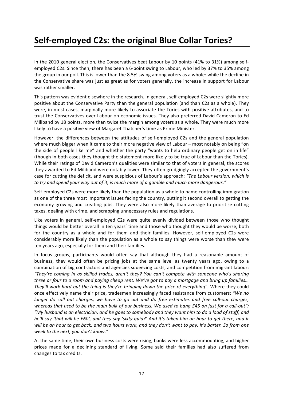# **Self-employed C2s: the original Blue Collar Tories?**

In the 2010 general election, the Conservatives beat Labour by 10 points (41% to 31%) among selfemployed C2s. Since then, there has been a 6-point swing to Labour, who led by 37% to 35% among the group in our poll. This is lower than the 8.5% swing among voters as a whole: while the decline in the Conservative share was just as great as for voters generally, the increase in support for Labour was rather smaller.

This pattern was evident elsewhere in the research. In general, self-employed C2s were slightly more positive about the Conservative Party than the general population (and than C2s as a whole). They were, in most cases, marginally more likely to associate the Tories with positive attributes, and to trust the Conservatives over Labour on economic issues. They also preferred David Cameron to Ed Miliband by 18 points, more than twice the margin among voters as a whole. They were much more likely to have a positive view of Margaret Thatcher's time as Prime Minister.

However, the differences between the attitudes of self-employed C2s and the general population where much bigger when it came to their more negative view of Labour – most notably on being "on the side of people like me" and whether the party "wants to help ordinary people get on in life" (though in both cases they thought the statement more likely to be true of Labour than the Tories). While their ratings of David Cameron's qualities were similar to that of voters in general, the scores they awarded to Ed Miliband were notably lower. They often grudgingly accepted the government's case for cutting the deficit, and were suspicious of Labour's approach: "The Labour version, which is to try and spend your way out of it, is much more of a gamble and much more dangerous."

Self-employed C2s were more likely than the population as a whole to name controlling immigration as one of the three most important issues facing the country, putting it second overall to getting the economy growing and creating jobs. They were also more likely than average to prioritise cutting taxes, dealing with crime, and scrapping unnecessary rules and regulations.

Like voters in general, self-employed C2s were quite evenly divided between those who thought things would be better overall in ten years' time and those who thought they would be worse, both for the country as a whole and for them and their families. However, self-employed C2s were considerably more likely than the population as a whole to say things were worse than they were ten years ago, especially for them and their families.

In focus groups, participants would often say that although they had a reasonable amount of business, they would often be pricing jobs at the same level as twenty years ago, owing to a combination of big contractors and agencies squeezing costs, and competition from migrant labour: "They're coming in as skilled trades, aren't they? You can't compete with someone who's sharing *three* or four to a room and paying cheap rent. We've got to pay a mortgage and bring up families... They'll work hard but the thing is they're bringing down the price of everything". Where they could once effectively name their price, tradesmen increasingly faced resistance from customers: "We no *longer* do call out charges, we have to go out and do free estimates and free call-out charges, *whereas that used to be the main bulk of our business. We used to bang £45 on just for a call-out"; "My husband is an electrician, and he goes to somebody and they want him to do a load of stuff, and he'll say 'that will be £60', and they say 'sixty quid?' And it's taken him an hour to get there, and it* will be an hour to get back, and two hours work, and they don't want to pay. It's barter. So from one week to the next, you don't know."

At the same time, their own business costs were rising, banks were less accommodating, and higher prices made for a declining standard of living. Some said their families had also suffered from changes to tax credits.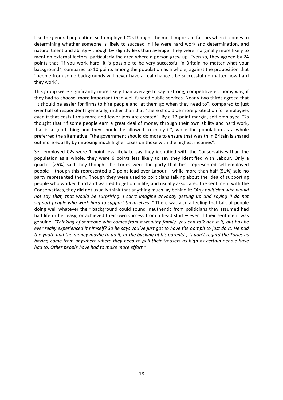Like the general population, self-employed C2s thought the most important factors when it comes to determining whether someone is likely to succeed in life were hard work and determination, and natural talent and ability – though by slightly less than average. They were marginally more likely to mention external factors, particularly the area where a person grew up. Even so, they agreed by 24 points that "if you work hard, it is possible to be very successful in Britain no matter what your background", compared to 10 points among the population as a whole, against the proposition that "people from some backgrounds will never have a real chance t be successful no matter how hard they work".

This group were significantly more likely than average to say a strong, competitive economy was, if they had to choose, more important than well funded public services. Nearly two thirds agreed that "it should be easier for firms to hire people and let them go when they need to", compared to just over half of respondents generally, rather than that "there should be more protection for employees even if that costs firms more and fewer jobs are created". By a 12-point margin, self-employed C2s thought that "if some people earn a great deal of money through their own ability and hard work, that is a good thing and they should be allowed to enjoy it", while the population as a whole preferred the alternative, "the government should do more to ensure that wealth in Britain is shared out more equally by imposing much higher taxes on those with the highest incomes".

Self-employed C2s were 1 point less likely to say they identified with the Conservatives than the population as a whole, they were 6 points less likely to say they identified with Labour. Only a quarter (26%) said they thought the Tories were the party that best represented self-employed people – though this represented a 9-point lead over Labour – while more than half (51%) said no party represented them. Though they were used to politicians talking about the idea of supporting people who worked hard and wanted to get on in life, and usually associated the sentiment with the Conservatives, they did not usually think that anything much lay behind it: "Any politician who would *not* say that, that would be surprising. I can't imagine anybody getting up and saying 'I do not support people who work hard to support themselves'." There was also a feeling that talk of people doing well whatever their background could sound inauthentic from politicians they assumed had had life rather easy, or achieved their own success from a head start – even if their sentiment was genuine: "Thinking of someone who comes from a wealthy family, you can talk about it, but has he *ever really experienced it himself?* So he says you've just got to have the oomph to just do it. He had *the youth and the money maybe to do it, or the backing of his parents"; "I don't regard the Tories as having* come from anywhere where they need to pull their trousers as high as certain people have had to. Other people have had to make more effort."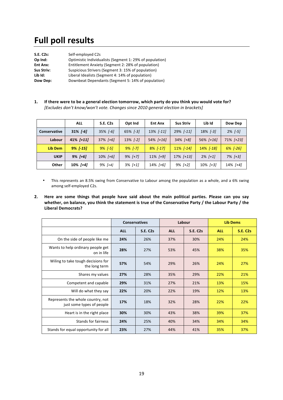# **Full poll results**

| <b>S.E. C2s:</b>  | Self-employed C2s                                        |
|-------------------|----------------------------------------------------------|
| Op Ind:           | Optimistic Individualists (Segment 1: 29% of population) |
| Ent Anx:          | Entitlement Anxiety (Segment 2: 28% of population)       |
| <b>Sus Striv:</b> | Suspicious Strivers (Segment 3: 15% of population)       |
| Lib Id:           | Liberal Idealists (Segment 4: 14% of population)         |
| Dow Dep:          | Downbeat Dependants (Segment 5: 14% of population)       |

1. If there were to be a general election tomorrow, which party do you think you would vote for? [Excludes don't know/won't vote. Changes since 2010 general election in brackets]

|                     | <b>ALL</b>    | <b>S.E. C2s</b> | Opt Ind     | <b>Ent Anx</b> | <b>Sus Striv</b> | Lib Id       | Dow Dep        |
|---------------------|---------------|-----------------|-------------|----------------|------------------|--------------|----------------|
| <b>Conservative</b> | $31\%$ $[-6]$ | $35\%$ $[-6]$   | 65% [-3]    | 13% [-11]      | $29\%$ [-11]     | 18% [-3]     | $2\%$ [-5]     |
| Labour              | $41\%$ [+11]  | $37\%$ [+6]     | $13\%$ [-2] | $54\%$ [+16]   | $34\%$ $[+8]$    | $56\%$ [+16] | $71\%$ $[+23]$ |
| Lib Dem             | $9\%$ [-15]   | $9\%$ [-5]      | $9\%$ [-7]  | $8\%$ $[-17]$  | $11\%$ [-14]     | 14% [-18]    | $6\%$ $[-26]$  |
| <b>UKIP</b>         | $9\%$ [+6]    | $10\%$ [+6]     | $9\%$ [+7]  | $11\%$ [+9]    | $17\%$ $[+13]$   | $2\%$ [+1]   | $7\%$ $[+3]$   |
| Other               | $10\%$ [+4]   | $9\%$ [+4]      | $3\%$ [+1]  | $14\%$ [+6]    | $9\%$ [+2]       | $10\%$ [+3]  | $14\%$ [+4]    |

- This represents an 8.5% swing from Conservative to Labour among the population as a whole, and a 6% swing among self-employed C2s.
- 2. Here are some things that people have said about the main political parties. Please can you say whether, on balance, you think the statement is true of the Conservative Party / the Labour Party / the **Liberal Democrats?**

|                                                                |            | <b>Conservatives</b> | Labour     |                 | <b>Lib Dems</b> |                 |
|----------------------------------------------------------------|------------|----------------------|------------|-----------------|-----------------|-----------------|
|                                                                | <b>ALL</b> | <b>S.E. C2s</b>      | <b>ALL</b> | <b>S.E. C2s</b> | <b>ALL</b>      | <b>S.E. C2s</b> |
| On the side of people like me                                  | 24%        | 26%                  | 37%        | 30%             | 24%             | 24%             |
| Wants to help ordinary people get<br>on in life                | 28%        | 27%                  | 53%        | 45%             | 38%             | 35%             |
| Wiling to take tough decisions for<br>the long term            | 57%        | 54%                  | 29%        | 26%             | 24%             | 27%             |
| Shares my values                                               | 27%        | 28%                  | 35%        | 29%             | 22%             | 21%             |
| Competent and capable                                          | 29%        | 31%                  | 27%        | 21%             | 13%             | 15%             |
| Will do what they say                                          | 22%        | 20%                  | 22%        | 19%             | 12%             | 13%             |
| Represents the whole country, not<br>just some types of people | 17%        | 18%                  | 32%        | 28%             | 22%             | 22%             |
| Heart is in the right place                                    | 30%        | 30%                  | 43%        | 38%             | 39%             | 37%             |
| <b>Stands for fairness</b>                                     | 24%        | 25%                  | 40%        | 34%             | 34%             | 34%             |
| Stands for equal opportunity for all                           | 23%        | 27%                  | 44%        | 41%             | 35%             | 37%             |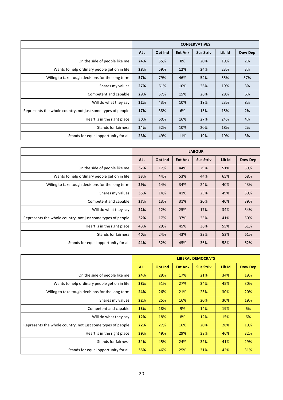|                                                             | <b>CONSERVATIVES</b> |         |                |                  |        |         |
|-------------------------------------------------------------|----------------------|---------|----------------|------------------|--------|---------|
|                                                             | <b>ALL</b>           | Opt Ind | <b>Ent Anx</b> | <b>Sus Striv</b> | Lib Id | Dow Dep |
| On the side of people like me                               | 24%                  | 55%     | 8%             | 20%              | 19%    | 2%      |
| Wants to help ordinary people get on in life                | 28%                  | 59%     | 12%            | 24%              | 23%    | 3%      |
| Wiling to take tough decisions for the long term            | 57%                  | 79%     | 46%            | 54%              | 55%    | 37%     |
| Shares my values                                            | 27%                  | 61%     | 10%            | 26%              | 19%    | 3%      |
| Competent and capable                                       | 29%                  | 57%     | 15%            | 26%              | 28%    | 6%      |
| Will do what they say                                       | 22%                  | 43%     | 10%            | 19%              | 23%    | 8%      |
| Represents the whole country, not just some types of people | 17%                  | 38%     | 6%             | 13%              | 15%    | 2%      |
| Heart is in the right place                                 | 30%                  | 60%     | 16%            | 27%              | 24%    | 4%      |
| <b>Stands for fairness</b>                                  | 24%                  | 52%     | 10%            | 20%              | 18%    | 2%      |
| Stands for equal opportunity for all                        | 23%                  | 49%     | 11%            | 19%              | 19%    | 3%      |

|                                                             | <b>LABOUR</b> |         |                |                  |        |                |
|-------------------------------------------------------------|---------------|---------|----------------|------------------|--------|----------------|
|                                                             | <b>ALL</b>    | Opt Ind | <b>Ent Anx</b> | <b>Sus Striv</b> | Lib Id | <b>Dow Dep</b> |
| On the side of people like me                               | 37%           | 17%     | 44%            | 29%              | 51%    | 59%            |
| Wants to help ordinary people get on in life                | 53%           | 44%     | 53%            | 44%              | 65%    | 68%            |
| Wiling to take tough decisions for the long term            | 29%           | 14%     | 34%            | 24%              | 40%    | 43%            |
| Shares my values                                            | 35%           | 14%     | 41%            | 25%              | 49%    | 59%            |
| Competent and capable                                       | 27%           | 13%     | 31%            | 20%              | 40%    | 39%            |
| Will do what they say                                       | 22%           | 12%     | 25%            | 17%              | 34%    | 34%            |
| Represents the whole country, not just some types of people | 32%           | 17%     | 37%            | 25%              | 41%    | 50%            |
| Heart is in the right place                                 | 43%           | 29%     | 45%            | 36%              | 55%    | 61%            |
| <b>Stands for fairness</b>                                  | 40%           | 24%     | 43%            | 33%              | 53%    | 61%            |
| Stands for equal opportunity for all                        | 44%           | 32%     | 45%            | 36%              | 58%    | 62%            |

|                                                             | <b>LIBERAL DEMOCRATS</b> |                |                |                  |        |                |
|-------------------------------------------------------------|--------------------------|----------------|----------------|------------------|--------|----------------|
|                                                             | <b>ALL</b>               | <b>Opt Ind</b> | <b>Ent Anx</b> | <b>Sus Striv</b> | Lib Id | <b>Dow Dep</b> |
| On the side of people like me                               | 24%                      | 29%            | 17%            | 21%              | 34%    | 19%            |
| Wants to help ordinary people get on in life                | 38%                      | 51%            | 27%            | 34%              | 45%    | 30%            |
| Wiling to take tough decisions for the long term            | 24%                      | 26%            | 21%            | 23%              | 30%    | 20%            |
| Shares my values                                            | 22%                      | 25%            | 16%            | 20%              | 30%    | 19%            |
| Competent and capable                                       | 13%                      | 18%            | 9%             | 14%              | 19%    | 6%             |
| Will do what they say                                       | 12%                      | 18%            | 8%             | 12%              | 15%    | 6%             |
| Represents the whole country, not just some types of people | 22%                      | 27%            | 16%            | 20%              | 28%    | 19%            |
| Heart is in the right place                                 | 39%                      | 49%            | 29%            | 38%              | 46%    | 32%            |
| <b>Stands for fairness</b>                                  | 34%                      | 45%            | 24%            | 32%              | 41%    | 29%            |
| Stands for equal opportunity for all                        | 35%                      | 46%            | 25%            | 31%              | 42%    | 31%            |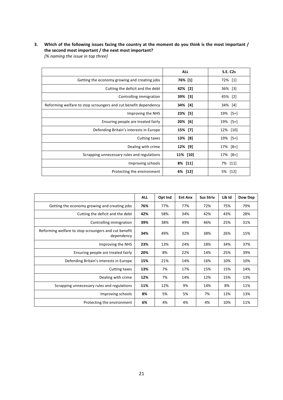### 3. Which of the following issues facing the country at the moment do you think is the most important / the second most important / the next most important?

[% naming the issue in top three]

|                                                                 | <b>ALL</b> | <b>S.E. C2s</b> |
|-----------------------------------------------------------------|------------|-----------------|
| Getting the economy growing and creating jobs                   | 76% [1]    | 72% [1]         |
| Cutting the deficit and the debt                                | 42% [2]    | 36% [3]         |
| Controlling immigration                                         | 39% [3]    | 45% [2]         |
| Reforming welfare to stop scroungers and cut benefit dependency | 34% [4]    | 34%<br>$[4]$    |
| Improving the NHS                                               | 23% [5]    | 19% [5=]        |
| Ensuring people are treated fairly                              | 20% [6]    | 19% [5=]        |
| Defending Britain's interests in Europe                         | 15% [7]    | 12% [10]        |
| Cutting taxes                                                   | 13% [8]    | 19% [5=]        |
| Dealing with crime                                              | 12% [9]    | 17% [8=]        |
| Scrapping unnecessary rules and regulations                     | 11% [10]   | 17% [8=]        |
| Improving schools                                               | 8% [11]    | 7% [11]         |
| Protecting the environment                                      | 6% [12]    | 5% [12]         |

|                                                                    | <b>ALL</b> | Opt Ind | <b>Ent Anx</b> | <b>Sus Striv</b> | Lib Id | Dow Dep |
|--------------------------------------------------------------------|------------|---------|----------------|------------------|--------|---------|
| Getting the economy growing and creating jobs                      | 76%        | 77%     | 77%            | 72%              | 75%    | 79%     |
| Cutting the deficit and the debt                                   | 42%        | 58%     | 34%            | 42%              | 43%    | 28%     |
| Controlling immigration                                            | 39%        | 38%     | 49%            | 46%              | 25%    | 31%     |
| Reforming welfare to stop scroungers and cut benefit<br>dependency | 34%        | 49%     | 32%            | 38%              | 26%    | 15%     |
| Improving the NHS                                                  | 23%        | 13%     | 24%            | 18%              | 34%    | 37%     |
| Ensuring people are treated fairly                                 | 20%        | 8%      | 22%            | 14%              | 25%    | 39%     |
| Defending Britain's interests in Europe                            | 15%        | 21%     | 14%            | 16%              | 10%    | 10%     |
| Cutting taxes                                                      | 13%        | 7%      | 17%            | 15%              | 15%    | 14%     |
| Dealing with crime                                                 | 12%        | 7%      | 14%            | 12%              | 15%    | 13%     |
| Scrapping unnecessary rules and regulations                        | 11%        | 12%     | 9%             | 14%              | 8%     | 11%     |
| Improving schools                                                  | 8%         | 5%      | 5%             | 7%               | 13%    | 13%     |
| Protecting the environment                                         | 6%         | 4%      | 4%             | 4%               | 10%    | 11%     |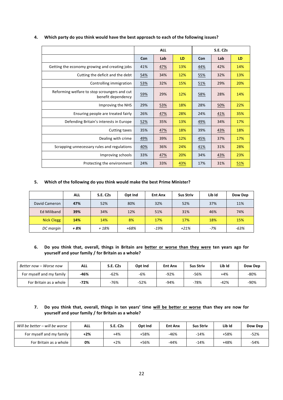|                                                                    |     | <b>ALL</b> |     |     | <b>S.E. C2s</b> |     |
|--------------------------------------------------------------------|-----|------------|-----|-----|-----------------|-----|
|                                                                    | Con | Lab        | LD  | Con | Lab             | LD  |
| Getting the economy growing and creating jobs                      | 41% | 47%        | 13% | 44% | 42%             | 14% |
| Cutting the deficit and the debt                                   | 54% | 34%        | 12% | 55% | 32%             | 13% |
| Controlling immigration                                            | 53% | 32%        | 15% | 51% | 29%             | 20% |
| Reforming welfare to stop scroungers and cut<br>benefit dependency | 59% | 29%        | 12% | 58% | 28%             | 14% |
| Improving the NHS                                                  | 29% | 53%        | 18% | 28% | 50%             | 22% |
| Ensuring people are treated fairly                                 | 26% | 47%        | 28% | 24% | 41%             | 35% |
| Defending Britain's interests in Europe                            | 52% | 35%        | 13% | 49% | 34%             | 17% |
| Cutting taxes                                                      | 35% | 47%        | 18% | 39% | 43%             | 18% |
| Dealing with crime                                                 | 49% | 39%        | 12% | 45% | 37%             | 17% |
| Scrapping unnecessary rules and regulations                        | 40% | 36%        | 24% | 41% | 31%             | 28% |
| Improving schools                                                  | 33% | 47%        | 20% | 34% | 43%             | 23% |
| Protecting the environment                                         | 24% | 33%        | 43% | 17% | 31%             | 51% |

### 4. Which party do you think would have the best approach to each of the following issues?

#### 5. Which of the following do you think would make the best Prime Minister?

|                    | <b>ALL</b> | <b>S.E. C2s</b> | Opt Ind | <b>Ent Anx</b> | <b>Sus Striv</b> | Lib Id | Dow Dep |
|--------------------|------------|-----------------|---------|----------------|------------------|--------|---------|
| David Cameron      | 47%        | 52%             | 80%     | 32%            | 52%              | 37%    | 11%     |
| <b>Ed Miliband</b> | 39%        | 34%             | 12%     | 51%            | 31%              | 46%    | 74%     |
| <b>Nick Clegg</b>  | 14%        | 14%             | 8%      | 17%            | 17%              | 18%    | 15%     |
| DC margin          | + 8%       | $+18%$          | +68%    | $-19%$         | $+21%$           | $-7%$  | $-63%$  |

### 6. Do you think that, overall, things in Britain are better or worse than they were ten years ago for **yourself and your family / for Britain as a whole?**

| Better now – Worse now   | ALL    | <b>S.E. C2s</b> | Opt Ind | <b>Ent Anx</b> | <b>Sus Striv</b> | Lib Id | Dow Dep |
|--------------------------|--------|-----------------|---------|----------------|------------------|--------|---------|
| For myself and my family | $-46%$ | $-62%$          | -6%     | $-92%$         | $-56%$           | +4%    | $-80%$  |
| For Britain as a whole   | $-72%$ | $-76%$          | $-52%$  | $-94%$         | $-78%$           | $-42%$ | $-90%$  |

### 7. Do you think that, overall, things in ten years' time will be better or worse than they are now for **yourself and your family / for Britain as a whole?**

| Will be better – will be worse | <b>ALL</b> | <b>S.E. C2s</b> | Opt Ind | <b>Ent Anx</b> | <b>Sus Striv</b> | Lib Id | Dow Dep |
|--------------------------------|------------|-----------------|---------|----------------|------------------|--------|---------|
| For myself and my family       | $+2%$      | $+4%$           | +58%    | $-46%$         | $-14%$           | +58%   | $-52%$  |
| For Britain as a whole         | 0%         | $+2%$           | +56%    | $-44%$         | $-14%$           | $+48%$ | $-54%$  |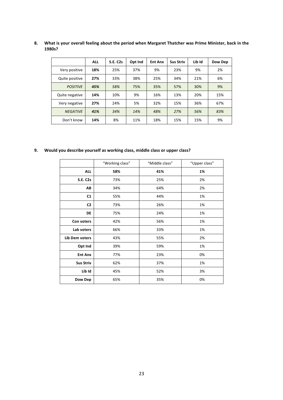|                 | <b>ALL</b> | <b>S.E. C2s</b> | Opt Ind | <b>Ent Anx</b> | <b>Sus Striv</b> | Lib Id | Dow Dep |
|-----------------|------------|-----------------|---------|----------------|------------------|--------|---------|
| Very positive   | 18%        | 25%             | 37%     | 9%             | 23%              | 9%     | 2%      |
| Quite positive  | 27%        | 33%             | 38%     | 25%            | 34%              | 21%    | 6%      |
| <b>POSITIVE</b> | 45%        | 58%             | 75%     | 35%            | 57%              | 30%    | 9%      |
| Quite negative  | 14%        | 10%             | 9%      | 16%            | 13%              | 20%    | 15%     |
| Very negative   | 27%        | 24%             | 5%      | 32%            | 15%              | 36%    | 67%     |
| <b>NEGATIVE</b> | 41%        | 34%             | 14%     | 48%            | 27%              | 56%    | 83%     |
| Don't know      | 14%        | 8%              | 11%     | 18%            | 15%              | 15%    | 9%      |

8. **What is your overall feeling about the period when Margaret Thatcher was Prime Minister, back in the 1980s?**

9. **Would you describe yourself as working class, middle class or upper class?** 

|                  | "Working class" | "Middle class" | "Upper class" |
|------------------|-----------------|----------------|---------------|
| <b>ALL</b>       | 58%             | 41%            | 1%            |
| <b>S.E. C2s</b>  | 73%             | 25%            | 2%            |
| AB               | 34%             | 64%            | 2%            |
| C1               | 55%             | 44%            | 1%            |
| C <sub>2</sub>   | 73%             | 26%            | 1%            |
| DE               | 75%             | 24%            | 1%            |
| Con voters       | 42%             | 56%            | 1%            |
| Lab voters       | 66%             | 33%            | 1%            |
| Lib Dem voters   | 43%             | 55%            | 2%            |
| Opt Ind          | 39%             | 59%            | 1%            |
| <b>Ent Anx</b>   | 77%             | 23%            | 0%            |
| <b>Sus Striv</b> | 62%             | 37%            | 1%            |
| Lib Id           | 45%             | 52%            | 3%            |
| Dow Dep          | 65%             | 35%            | 0%            |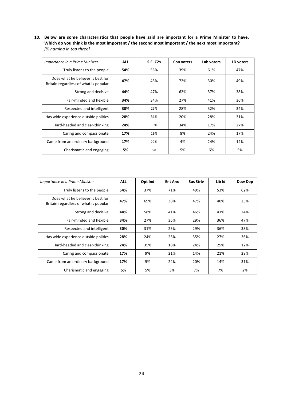10. Below are some characteristics that people have said are important for a Prime Minister to have. Which do you think is the most important / the second most important / the next most important? *[% naming in top three]*

| Importance in a Prime Minister                                             | <b>ALL</b> | <b>S.E. C2s</b> | Con voters | Lab voters | LD voters |
|----------------------------------------------------------------------------|------------|-----------------|------------|------------|-----------|
| Truly listens to the people                                                | 54%        | 55%             | 39%        | 61%        | 47%       |
| Does what he believes is best for<br>Britain regardless of what is popular | 47%        | 43%             | 72%        | 30%        | 49%       |
| Strong and decisive                                                        | 44%        | 47%             | 62%        | 37%        | 38%       |
| Fair-minded and flexible                                                   | 34%        | 34%             | 27%        | 41%        | 36%       |
| Respected and intelligent                                                  | 30%        | 25%             | 28%        | 32%        | 34%       |
| Has wide experience outside politics                                       | 28%        | 31%             | 20%        | 28%        | 31%       |
| Hard-headed and clear-thinking                                             | 24%        | 19%             | 34%        | 17%        | 27%       |
| Caring and compassionate                                                   | 17%        | 16%             | 8%         | 24%        | 17%       |
| Came from an ordinary background                                           | 17%        | 22%             | 4%         | 24%        | 14%       |
| Charismatic and engaging                                                   | 5%         | 5%              | 5%         | 6%         | 5%        |

| Importance in a Prime Minister                                             | <b>ALL</b> | Opt Ind | <b>Ent Anx</b> | <b>Sus Striv</b> | Lib Id | Dow Dep |
|----------------------------------------------------------------------------|------------|---------|----------------|------------------|--------|---------|
| Truly listens to the people                                                | 54%        | 37%     | 71%            | 49%              | 53%    | 62%     |
| Does what he believes is best for<br>Britain regardless of what is popular | 47%        | 69%     | 38%            | 47%              | 40%    | 25%     |
| Strong and decisive                                                        | 44%        | 58%     | 41%            | 46%              | 41%    | 24%     |
| Fair-minded and flexible                                                   | 34%        | 27%     | 35%            | 29%              | 36%    | 47%     |
| Respected and intelligent                                                  | 30%        | 31%     | 25%            | 29%              | 36%    | 33%     |
| Has wide experience outside politics                                       | 28%        | 24%     | 25%            | 35%              | 27%    | 36%     |
| Hard-headed and clear-thinking                                             | 24%        | 35%     | 18%            | 24%              | 25%    | 12%     |
| Caring and compassionate                                                   | 17%        | 9%      | 21%            | 14%              | 21%    | 28%     |
| Came from an ordinary background                                           | 17%        | 5%      | 24%            | 20%              | 14%    | 31%     |
| Charismatic and engaging                                                   | 5%         | 5%      | 3%             | 7%               | 7%     | 2%      |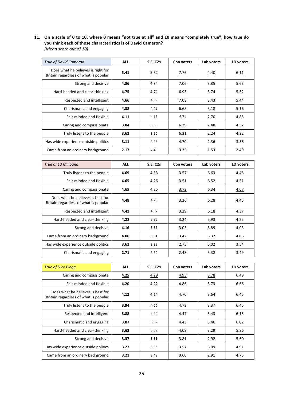11. On a scale of 0 to 10, where 0 means "not true at all" and 10 means "completely true", how true do **you think each of those characteristics is of David Cameron?** *[Mean score out of 10]*

| <b>True of David Cameron</b>                                                | <b>ALL</b> | <b>S.E. C2s</b> | Con voters | Lab voters | LD voters |
|-----------------------------------------------------------------------------|------------|-----------------|------------|------------|-----------|
| Does what he believes is right for<br>Britain regardless of what is popular | 5.41       | 5.32            | 7.76       | 4.40       | 6.11      |
| Strong and decisive                                                         | 4.86       | 4.84            | 7.06       | 3.85       | 5.63      |
| Hard-headed and clear-thinking                                              | 4.75       | 4.71            | 6.95       | 3.74       | 5.52      |
| Respected and intelligent                                                   | 4.66       | 4.69            | 7.08       | 3.43       | 5.44      |
| Charismatic and engaging                                                    | 4.38       | 4.49            | 6.68       | 3.18       | 5.16      |
| Fair-minded and flexible                                                    | 4.11       | 4.15            | 6.71       | 2.70       | 4.85      |
| Caring and compassionate                                                    | 3.84       | 3.89            | 6.29       | 2.48       | 4.52      |
| Truly listens to the people                                                 | 3.62       | 3.60            | 6.31       | 2.24       | 4.32      |
| Has wide experience outside politics                                        | 3.11       | 3.38            | 4.70       | 2.36       | 3.56      |
| Came from an ordinary background                                            | 2.17       | 2.43            | 3.35       | 1.53       | 2.49      |

| True of Ed Miliband                                                        | <b>ALL</b> | <b>S.E. C2s</b> | Con voters | Lab voters | LD voters |
|----------------------------------------------------------------------------|------------|-----------------|------------|------------|-----------|
| Truly listens to the people                                                | 4.69       | 4.33            | 3.57       | 6.63       | 4.48      |
| Fair-minded and flexible                                                   | 4.65       | 4.26            | 3.51       | 6.52       | 4.51      |
| Caring and compassionate                                                   | 4.65       | 4.25            | 3.73       | 6.34       | 4.67      |
| Does what he believes is best for<br>Britain regardless of what is popular | 4.48       | 4.20            | 3.26       | 6.28       | 4.45      |
| Respected and intelligent                                                  | 4.41       | 4.07            | 3.29       | 6.18       | 4.37      |
| Hard-headed and clear-thinking                                             | 4.28       | 3.96            | 3.24       | 5.93       | 4.25      |
| Strong and decisive                                                        | 4.16       | 3.85            | 3.03       | 5.89       | 4.03      |
| Came from an ordinary background                                           | 4.06       | 3.91            | 3.42       | 5.37       | 4.06      |
| Has wide experience outside politics                                       | 3.62       | 3.39            | 2.75       | 5.02       | 3.54      |
| Charismatic and engaging                                                   | 2.71       | 3.30            | 2.48       | 5.32       | 3.49      |

| <b>True of Nick Clegg</b>                                                  | <b>ALL</b> | <b>S.E. C2s</b> | Con voters | Lab voters | LD voters |
|----------------------------------------------------------------------------|------------|-----------------|------------|------------|-----------|
| Caring and compassionate                                                   | 4.25       | 4.29            | 4.95       | 3.78       | 6.49      |
| Fair-minded and flexible                                                   | 4.20       | 4.22            | 4.86       | 3.73       | 6.66      |
| Does what he believes is best for<br>Britain regardless of what is popular | 4.12       | 4.14            | 4.70       | 3.64       | 6.45      |
| Truly listens to the people                                                | 3.94       | 4.00            | 4.73       | 3.37       | 6.45      |
| Respected and intelligent                                                  | 3.88       | 4.02            | 4.47       | 3.43       | 6.15      |
| Charismatic and engaging                                                   | 3.87       | 3.92            | 4.43       | 3.46       | 6.02      |
| Hard-headed and clear-thinking                                             | 3.63       | 3.59            | 4.08       | 3.29       | 5.86      |
| Strong and decisive                                                        | 3.37       | 3.31            | 3.81       | 2.92       | 5.60      |
| Has wide experience outside politics                                       | 3.27       | 3.38            | 3.57       | 3.09       | 4.91      |
| Came from an ordinary background                                           | 3.21       | 3.49            | 3.60       | 2.91       | 4.75      |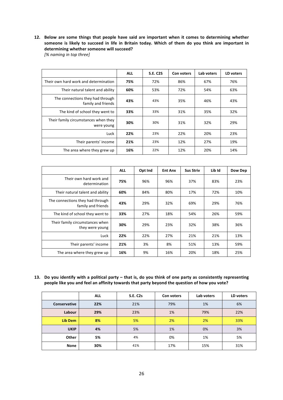### 12. Below are some things that people have said are important when it comes to determining whether someone is likely to succeed in life in Britain today. Which of them do you think are important in determining whether someone will succeed?

*[% naming in top three]*

|                                                        | <b>ALL</b> | <b>S.E. C2S</b> | Con voters | Lab voters | LD voters |
|--------------------------------------------------------|------------|-----------------|------------|------------|-----------|
| Their own hard work and determination                  | 75%        | 72%             | 86%        | 67%        | 76%       |
| Their natural talent and ability                       | 60%        | 53%             | 72%        | 54%        | 63%       |
| The connections they had through<br>family and friends | 43%        | 43%             | 35%        | 46%        | 43%       |
| The kind of school they went to                        | 33%        | 33%             | 31%        | 35%        | 32%       |
| Their family circumstances when they<br>were young     | 30%        | 30%             | 31%        | 32%        | 29%       |
| Luck                                                   | 22%        | 23%             | 22%        | 20%        | 23%       |
| Their parents' income                                  | 21%        | 23%             | 12%        | 27%        | 19%       |
| The area where they grew up                            | 16%        | 22%             | 12%        | 20%        | 14%       |

|                                                        | <b>ALL</b> | Opt Ind | <b>Ent Anx</b> | <b>Sus Striv</b> | Lib Id | Dow Dep |
|--------------------------------------------------------|------------|---------|----------------|------------------|--------|---------|
| Their own hard work and<br>determination               | 75%        | 96%     | 96%            | 37%              | 83%    | 23%     |
| Their natural talent and ability                       | 60%        | 84%     | 80%            | 17%              | 72%    | 10%     |
| The connections they had through<br>family and friends | 43%        | 29%     | 32%            | 69%              | 29%    | 76%     |
| The kind of school they went to                        | 33%        | 27%     | 18%            | 54%              | 26%    | 59%     |
| Their family circumstances when<br>they were young     | 30%        | 29%     | 23%            | 32%              | 38%    | 36%     |
| Luck                                                   | 22%        | 22%     | 27%            | 21%              | 21%    | 13%     |
| Their parents' income                                  | 21%        | 3%      | 8%             | 51%              | 13%    | 59%     |
| The area where they grew up                            | 16%        | 9%      | 16%            | 20%              | 18%    | 25%     |

**13.** Do you identify with a political party – that is, do you think of one party as consistently representing people like you and feel an affinity towards that party beyond the question of how you vote?

|                     | <b>ALL</b> | <b>S.E. C2s</b> | Con voters | Lab voters | LD voters |
|---------------------|------------|-----------------|------------|------------|-----------|
| <b>Conservative</b> | 22%        | 21%             | 79%        | 1%         | 6%        |
| Labour              | 29%        | 23%             | 1%         | 79%        | 22%       |
| Lib Dem             | 8%         | 5%              | 2%         | 2%         | 33%       |
| <b>UKIP</b>         | 4%         | 5%              | 1%         | 0%         | 3%        |
| Other               | 5%         | 4%              | 0%         | 1%         | 5%        |
| None                | 30%        | 41%             | 17%        | 15%        | 31%       |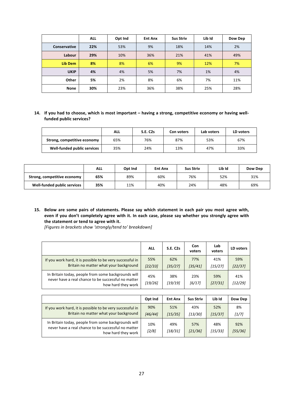|              | <b>ALL</b> | Opt Ind | <b>Ent Anx</b> | <b>Sus Striv</b> | Lib Id | Dow Dep |
|--------------|------------|---------|----------------|------------------|--------|---------|
| Conservative | 22%        | 53%     | 9%             | 18%              | 14%    | 2%      |
| Labour       | 29%        | 10%     | 36%            | 21%              | 41%    | 49%     |
| Lib Dem      | 8%         | 8%      | 6%             | 9%               | 12%    | 7%      |
| <b>UKIP</b>  | 4%         | 4%      | 5%             | 7%               | 1%     | 4%      |
| Other        | 5%         | 2%      | 8%             | 6%               | 7%     | 11%     |
| <b>None</b>  | 30%        | 23%     | 36%            | 38%              | 25%    | 28%     |

#### 14. If you had to choose, which is most important – having a strong, competitive economy or having wellfunded public services?

|                             | ALL | <b>S.E. C2s</b> | Con voters | Lab voters | LD voters |
|-----------------------------|-----|-----------------|------------|------------|-----------|
| Strong, competitive economy | 65% | 76%             | 87%        | 53%        | 67%       |
| Well-funded public services | 35% | 24%             | 13%        | 47%        | 33%       |

|                             | <b>ALL</b> | Opt Ind | <b>Ent Anx</b> | <b>Sus Striv</b> | Lib Id | Dow Dep |
|-----------------------------|------------|---------|----------------|------------------|--------|---------|
| Strong, competitive economy | 65%        | 89%     | 60%            | 76%              | 52%    | 31%     |
| Well-funded public services | 35%        | 11%     | 40%            | 24%              | 48%    | 69%     |

15. Below are some pairs of statements. Please say which statement in each pair you most agree with, even if you don't completely agree with it. In each case, please say whether you strongly agree with the statement or tend to agree with it.

[Figures in brackets show 'strongly/tend to' breakdown]

|                                                                                                                                  | <b>ALL</b>     | <b>S.E. C2s</b> | Con<br>voters  | Lab<br>voters  | LD voters      |
|----------------------------------------------------------------------------------------------------------------------------------|----------------|-----------------|----------------|----------------|----------------|
| If you work hard, it is possible to be very successful in<br>Britain no matter what your background                              | 55%<br>[22/33] | 62%<br>[35/27]  | 77%<br>[35/41] | 41%<br>[15/27] | 59%<br>[22/37] |
| In Britain today, people from some backgrounds will<br>never have a real chance to be successful no matter<br>how hard they work | 45%<br>[19/26] | 38%<br>[19/19]  | 23%<br>[6/17]  | 59%<br>[27/31] | 41%<br>[12/29] |

|                                                                                                                                  | Opt Ind        | <b>Ent Anx</b> | <b>Sus Striv</b> | Lib Id         | Dow Dep        |
|----------------------------------------------------------------------------------------------------------------------------------|----------------|----------------|------------------|----------------|----------------|
| If you work hard, it is possible to be very successful in<br>Britain no matter what your background                              | 90%<br>[46/44] | 51%<br>[15/35] | 43%<br>[13/30]   | 52%<br>[15/37] | 8%<br>[1/7]    |
| In Britain today, people from some backgrounds will<br>never have a real chance to be successful no matter<br>how hard they work | 10%<br>$[2/8]$ | 49%<br>[18/31] | 57%<br>[21/36]   | 48%<br>[15/33] | 92%<br>[55/36] |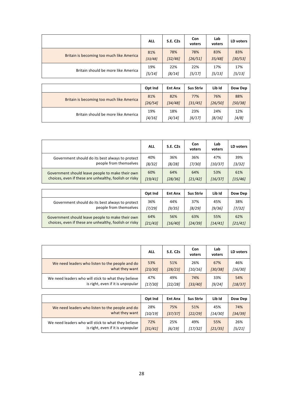|                                           | <b>ALL</b> | <b>S.E. C2s</b> | Con<br>voters | Lab<br>voters | LD voters |
|-------------------------------------------|------------|-----------------|---------------|---------------|-----------|
| Britain is becoming too much like America | 81%        | 78%             | 78%           | 83%           | 83%       |
|                                           | [33/48]    | [32/46]         | [26/51]       | 35/48         | [30/53]   |
| Britain should be more like America       | 19%        | 22%             | 22%           | 17%           | 17%       |
|                                           | [5/14]     | [8/14]          | [5/17]        | [5/13]        | [5/13]    |
|                                           |            |                 |               |               |           |

|                                           | Opt Ind | <b>Ent Anx</b> | <b>Sus Striv</b> | Lib Id  | Dow Dep |
|-------------------------------------------|---------|----------------|------------------|---------|---------|
| Britain is becoming too much like America | 81%     | 82%            | 77%              | 76%     | 88%     |
|                                           | [26/54] | [34/48]        | [31/45]          | [26/50] | [50/38] |
| Britain should be more like America       | 19%     | 18%            | 23%              | 24%     | 12%     |
|                                           | [4/16]  | [4/14]         | [6/17]           | [8/16]  | [4/8]   |

|                                                        | <b>ALL</b> | <b>S.E. C2s</b> | Con<br>voters | Lab<br>voters | LD voters |
|--------------------------------------------------------|------------|-----------------|---------------|---------------|-----------|
| Government should do its best always to protect        | 40%        | 36%             | 36%           | 47%           | 39%       |
| people from themselves                                 | [8/32]     | [8/28]          | [7/30]        | [10/37]       | [3/32]    |
| Government should leave people to make their own       | 60%        | 64%             | 64%           | 53%           | 61%       |
| choices, even if these are unhealthy, foolish or risky | [19/41]    | [28/36]         | [21/42]       | [16/37]       | [15/46]   |

|                                                        | Opt Ind | <b>Ent Anx</b> | <b>Sus Striv</b> | Lib Id  | Dow Dep |
|--------------------------------------------------------|---------|----------------|------------------|---------|---------|
| Government should do its best always to protect        | 36%     | 44%            | 37%              | 45%     | 38%     |
| people from themselves                                 | [7/29]  | [9/35]         | [8/29]           | [9/36]  | [7/32]  |
| Government should leave people to make their own       | 64%     | 56%            | 63%              | 55%     | 62%     |
| choices, even if these are unhealthy, foolish or risky | [21/43] | [16/40]        | [24/39]          | [14/41] | [21/41] |

|                                                     | <b>ALL</b> | <b>S.E. C2s</b> | Con<br>voters | Lab<br>voters | LD voters |
|-----------------------------------------------------|------------|-----------------|---------------|---------------|-----------|
| We need leaders who listen to the people and do     | 53%        | 51%             | 26%           | 67%           | 46%       |
| what they want                                      | [23/30]    | [28/23]         | [10/16]       | [30/38]       | [16/30]   |
| We need leaders who will stick to what they believe | 47%        | 49%             | 74%           | 33%           | 54%       |
| is right, even if it is unpopular                   | [17/30]    | [22/28]         | [33/40]       | [9/24]        | [18/37]   |

|                                                     | Opt Ind | <b>Ent Anx</b> | <b>Sus Striv</b> | Lib Id  | Dow Dep |
|-----------------------------------------------------|---------|----------------|------------------|---------|---------|
| We need leaders who listen to the people and do     | 28%     | 75%            | 51%              | 45%     | 74%     |
| what they want                                      | [10/19] | [37/37]        | [22/29]          | [14/30] | [34/39] |
| We need leaders who will stick to what they believe | 72%     | 25%            | 49%              | 55%     | 26%     |
| is right, even if it is unpopular                   | [31/41] | [6/19]         | [17/32]          | [21/35] | [5/21]  |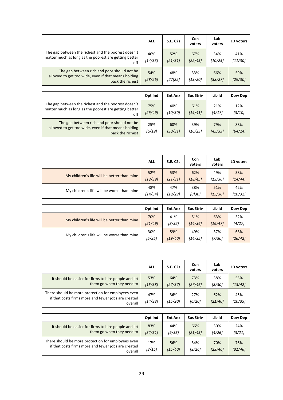|                                                                                                                         | <b>ALL</b>     | <b>S.E. C2s</b> | Con<br>voters  | Lab<br>voters  | LD voters      |
|-------------------------------------------------------------------------------------------------------------------------|----------------|-----------------|----------------|----------------|----------------|
| The gap between the richest and the poorest doesn't<br>matter much as long as the poorest are getting better<br>off     | 46%<br>[14/33] | 52%<br>[21/31]  | 67%<br>[22/45] | 34%<br>[10/25] | 41%<br>[11/30] |
| The gap between rich and poor should not be.<br>allowed to get too wide, even if that means holding<br>back the richest | 54%<br>[28/26] | 48%<br>[27]22]  | 33%<br>[13/20] | 66%<br>[38/27] | 59%<br>[29/30] |

|                                                                                                                        | Opt Ind        | <b>Ent Anx</b> | <b>Sus Striv</b> | Lib Id         | Dow Dep        |
|------------------------------------------------------------------------------------------------------------------------|----------------|----------------|------------------|----------------|----------------|
| The gap between the richest and the poorest doesn't<br>matter much as long as the poorest are getting better<br>off    | 75%<br>[26/49] | 40%<br>[10/30] | 61%<br>[19/41]   | 21%<br>[4/17]  | 12%<br>[3/10]  |
| The gap between rich and poor should not be<br>allowed to get too wide, even if that means holding<br>back the richest | 25%<br>[6/19]  | 60%<br>[30/31] | 39%<br>[16/23]   | 79%<br>[45/33] | 88%<br>[64/24] |

|                                             | <b>ALL</b> | <b>S.E. C2s</b> | Con<br>voters | Lab<br>voters | LD voters |
|---------------------------------------------|------------|-----------------|---------------|---------------|-----------|
| My children's life will be better than mine | 52%        | 53%             | 62%           | 49%           | 58%       |
|                                             | [13/39]    | [21/31]         | [18/45]       | [13/36]       | [14/44]   |
| My children's life will be worse than mine  | 48%        | 47%             | 38%           | 51%           | 42%       |
|                                             | [14/34]    | [18/29]         | [8]30]        | [15/36]       | [10/32]   |

|                                             | Opt Ind | <b>Ent Anx</b> | <b>Sus Striv</b> | Lib Id  | Dow Dep |
|---------------------------------------------|---------|----------------|------------------|---------|---------|
| My children's life will be better than mine | 70%     | 41%            | 51%              | 63%     | 32%     |
|                                             | [21/49] | [8/32]         | [14/36]          | [16/47] | [4/27]  |
| My children's life will be worse than mine  | 30%     | 59%            | 49%              | 37%     | 68%     |
|                                             | [5/25]  | [19/40]        | [14/35]          | [7/30]  | [26/42] |

|                                                                                                                      | <b>ALL</b>     | <b>S.E. C2s</b> | <b>Con</b><br>voters | Lab<br>voters  | LD voters      |
|----------------------------------------------------------------------------------------------------------------------|----------------|-----------------|----------------------|----------------|----------------|
| It should be easier for firms to hire people and let<br>them go when they need to                                    | 53%<br>[15/38] | 64%<br>[27/37]  | 73%<br>[27/46]       | 38%<br>[8/30]  | 55%<br>[13/42] |
| There should be more protection for employees even<br>if that costs firms more and fewer jobs are created<br>overall | 47%<br>[14/33] | 36%<br>[15/20]  | 27%<br>[6/20]        | 62%<br>[21/40] | 45%<br>[10/35] |

|                                                                                                                      | Opt Ind        | <b>Ent Anx</b> | <b>Sus Striv</b> | Lib Id         | Dow Dep        |
|----------------------------------------------------------------------------------------------------------------------|----------------|----------------|------------------|----------------|----------------|
| It should be easier for firms to hire people and let<br>them go when they need to                                    | 83%<br>[32/51] | 44%<br>[9/35]  | 66%<br>[21/45]   | 30%<br>[4/26]  | 24%<br>[3/21]  |
| There should be more protection for employees even<br>if that costs firms more and fewer jobs are created<br>overall | 17%<br>[2/15]  | 56%<br>[15/40] | 34%<br>[8/26]    | 70%<br>[23/46] | 76%<br>[31/46] |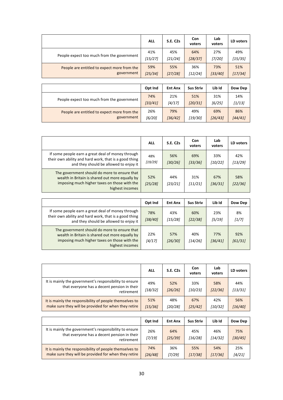|                                             | <b>ALL</b> | <b>S.E. C2s</b> | Con<br>voters | Lab<br>voters | LD voters |
|---------------------------------------------|------------|-----------------|---------------|---------------|-----------|
| People expect too much from the government  | 41%        | 45%             | 64%           | 27%           | 49%       |
|                                             | [15/27]    | [21/24]         | [28/37]       | [7/20]        | [15/35]   |
| People are entitled to expect more from the | 59%        | 55%             | 36%           | 73%           | 51%       |
| government                                  | [25/34]    | [27/28]         | [12/24]       | [33/40]       | [17/34]   |

|                                             | Opt Ind | <b>Ent Anx</b> | <b>Sus Striv</b> | Lib Id  | Dow Dep |
|---------------------------------------------|---------|----------------|------------------|---------|---------|
| People expect too much from the government  | 74%     | 21%            | 51%              | 31%     | 14%     |
|                                             | [33/41] | [4/17]         | [20/31]          | [6/25]  | [1/13]  |
| People are entitled to expect more from the | 26%     | 79%            | 49%              | 69%     | 86%     |
| government                                  | [6/20]  | [36/42]        | [19/30]          | [26/43] | [44/41] |

|                                                                                                                                                                    | <b>ALL</b>     | <b>S.E. C2s</b> | Con<br>voters  | Lab<br>voters  | LD voters      |
|--------------------------------------------------------------------------------------------------------------------------------------------------------------------|----------------|-----------------|----------------|----------------|----------------|
| If some people earn a great deal of money through<br>their own ability and hard work, that is a good thing<br>and they should be allowed to enjoy it               | 48%<br>[19/29] | 56%<br>[30/26]  | 69%<br>[33/36] | 33%<br>[10/22] | 42%<br>[13/29] |
| The government should do more to ensure that<br>wealth in Britain is shared out more equally by<br>imposing much higher taxes on those with the<br>highest incomes | 52%<br>[25/28] | 44%<br>[23/21]  | 31%<br>[11/21] | 67%<br>[36/31] | 58%<br>[22/36] |

|                                                                                                                                                                    | Opt Ind        | <b>Ent Anx</b> | <b>Sus Striv</b> | Lib Id         | Dow Dep        |
|--------------------------------------------------------------------------------------------------------------------------------------------------------------------|----------------|----------------|------------------|----------------|----------------|
| If some people earn a great deal of money through<br>their own ability and hard work, that is a good thing<br>and they should be allowed to enjoy it               | 78%<br>[38/40] | 43%<br>[15/28] | 60%<br>[22/38]   | 23%<br>[5/19]  | 8%<br>[1/7]    |
| The government should do more to ensure that<br>wealth in Britain is shared out more equally by<br>imposing much higher taxes on those with the<br>highest incomes | 22%<br>[4/17]  | 57%<br>[26/30] | 40%<br>[14/26]   | 77%<br>[36/41] | 92%<br>[61/31] |

|                                                                                                                     | <b>ALL</b>     | <b>S.E. C2s</b> | Con<br>voters  | Lab<br>voters  | LD voters      |
|---------------------------------------------------------------------------------------------------------------------|----------------|-----------------|----------------|----------------|----------------|
| It is mainly the government's responsibility to ensure<br>that everyone has a decent pension in their<br>retirement | 49%<br>[18/32] | 52%<br>[26/26]  | 33%<br>[10/23] | 58%<br>[22/36] | 44%<br>[13/31] |
| It is mainly the responsibility of people themselves to<br>make sure they will be provided for when they retire     | 51%<br>[15/36] | 48%<br>[20/28]  | 67%<br>[25/42] | 42%<br>[10/32] | 56%<br>[16/40] |

|                                                                                                                     | Opt Ind        | <b>Ent Anx</b> | <b>Sus Striv</b> | Lib Id         | Dow Dep        |
|---------------------------------------------------------------------------------------------------------------------|----------------|----------------|------------------|----------------|----------------|
| It is mainly the government's responsibility to ensure<br>that everyone has a decent pension in their<br>retirement | 26%<br>[7/19]  | 64%<br>[25/39] | 45%<br>[16/28]   | 46%<br>[14/32] | 75%<br>[30/45] |
| It is mainly the responsibility of people themselves to<br>make sure they will be provided for when they retire     | 74%<br>[26/48] | 36%<br>[7/29]  | 55%<br>[17/38]   | 54%<br>[17/36] | 25%<br>[4/21]  |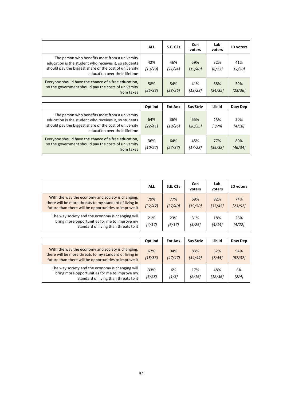|                                                                                                                                                                                                    | <b>ALL</b>     | <b>S.E. C2s</b> | Con<br>voters    | Lab<br>voters  | <b>LD</b> voters |
|----------------------------------------------------------------------------------------------------------------------------------------------------------------------------------------------------|----------------|-----------------|------------------|----------------|------------------|
| The person who benefits most from a university<br>education is the student who receives it, so students<br>should pay the biggest share of the cost of university<br>education over their lifetime | 42%<br>[13/29] | 46%<br>[21/24]  | 59%<br>[19/40]   | 32%<br>[8/23]  | 41%<br>12/30]    |
| Everyone should have the chance of a free education,<br>so the government should pay the costs of university<br>from taxes                                                                         | 58%<br>[25/33] | 54%<br>[28/26]  | 41%<br>[13/28]   | 68%<br>[34/35] | 59%<br>[23/36]   |
|                                                                                                                                                                                                    | Opt Ind        | <b>Ent Anx</b>  | <b>Sus Striv</b> | Lib Id         | Dow Dep          |
| The person who benefits most from a university<br>education is the student who receives it, so students<br>should pay the biggest share of the cost of university<br>education over their lifetime | 64%<br>[22/41] | 36%<br>[10/26]  | 55%<br>[20/35]   | 23%<br>[3/20]  | 20%<br>[4/16]    |
| Everyone should have the chance of a free education,<br>so the government should pay the costs of university<br>from taxes                                                                         | 36%<br>[10/27] | 64%<br>[27/37]  | 45%<br>[17/28]   | 77%<br>[39/38] | 80%<br>[46/34]   |

|                                                                                                                                                                      | <b>ALL</b>     | <b>S.E. C2s</b> | Con<br>voters  | Lab<br>voters  | LD voters      |
|----------------------------------------------------------------------------------------------------------------------------------------------------------------------|----------------|-----------------|----------------|----------------|----------------|
| With the way the economy and society is changing,<br>there will be more threats to my standard of living in<br>future than there will be opportunities to improve it | 79%<br>[32/47] | 77%<br>[37/40]  | 69%<br>[19/50] | 82%<br>[37/45] | 74%<br>[23/52] |
| The way society and the economy is changing will<br>bring more opportunities for me to improve my<br>standard of living than threats to it                           | 21%<br>[4/17]  | 23%<br>[6/17]   | 31%<br>[5/26]  | 18%<br>[4/14]  | 26%<br>[4/22]  |

|                                                                                                                                                                      | Opt Ind        | <b>Ent Anx</b> | <b>Sus Striv</b> | Lib Id         | Dow Dep        |
|----------------------------------------------------------------------------------------------------------------------------------------------------------------------|----------------|----------------|------------------|----------------|----------------|
| With the way the economy and society is changing,<br>there will be more threats to my standard of living in<br>future than there will be opportunities to improve it | 67%<br>[15/53] | 94%<br>[47/47] | 83%<br>[34/49]   | 52%<br>[7/45]  | 94%<br>[57/37] |
| The way society and the economy is changing will<br>bring more opportunities for me to improve my<br>standard of living than threats to it                           | 33%<br>[5/28]  | 6%<br>1/5      | 17%<br>[2/16]    | 48%<br>[12/36] | 6%<br>$[2/4]$  |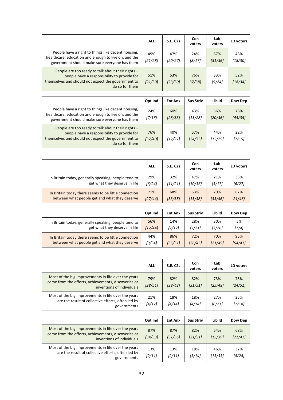|                                                                                                                                                                          | <b>ALL</b>     | <b>S.E. C2s</b> | Con<br>voters | Lab<br>voters  | LD voters      |
|--------------------------------------------------------------------------------------------------------------------------------------------------------------------------|----------------|-----------------|---------------|----------------|----------------|
| People have a right to things like decent housing,<br>healthcare, education and enough to live on, and the<br>government should make sure everyone has them              | 49%<br>[21/28] | 47%<br>[20/27]  | 24%<br>[8/17] | 67%<br>[31/36] | 48%<br>[18/30] |
| People are too ready to talk about their rights -<br>people have a responsibility to provide for<br>themselves and should not expect the government to<br>do so for them | 51%<br>[21/30] | 53%<br>[23/30]  | 76%<br>37/381 | 33%<br>[9/24]  | 52%<br>[18/34] |

|                                                                                                                                                                          | Opt Ind        | <b>Ent Anx</b> | <b>Sus Striv</b> | Lib Id         | Dow Dep        |
|--------------------------------------------------------------------------------------------------------------------------------------------------------------------------|----------------|----------------|------------------|----------------|----------------|
| People have a right to things like decent housing,<br>healthcare, education and enough to live on, and the<br>government should make sure everyone has them              | 24%<br>[7/16]  | 60%<br>[28/33] | 43%<br>[15/28]   | 56%<br>[20/36] | 78%<br>[44/35] |
| People are too ready to talk about their rights -<br>people have a responsibility to provide for<br>themselves and should not expect the government to<br>do so for them | 76%<br>[37/40] | 40%<br>[12/27] | 57%<br>[24/33]   | 44%<br>[15/29] | 22%<br>[7/15]  |

|                                                      | <b>ALL</b> | <b>S.E. C2s</b> | Con<br>voters | Lab<br>voters | LD voters |
|------------------------------------------------------|------------|-----------------|---------------|---------------|-----------|
| In Britain today, generally speaking, people tend to | 29%        | 32%             | 47%           | 21%           | 33%       |
| get what they deserve in life                        | [6/24]     | [11/21]         | [10/36]       | [3/17]        | [6/27]    |
| In Britain today there seems to be little connection | 71%        | 68%             | 53%           | 79%           | 67%       |
| between what people get and what they deserve        | [27/44]    | [33/35]         | [15/38]       | [33/46]       | 21/46     |

|                                                      | Opt Ind | <b>Ent Anx</b> | <b>Sus Striv</b> | Lib Id  | Dow Dep |
|------------------------------------------------------|---------|----------------|------------------|---------|---------|
| In Britain today, generally speaking, people tend to | 56%     | 14%            | 28%              | 30%     | 5%      |
| get what they deserve in life                        | [12/44] | [2/12]         | [7/21]           | [3/26]  | [1/4]   |
| In Britain today there seems to be little connection | 44%     | 86%            | 72%              | 70%     | 95%     |
| between what people get and what they deserve        | [9/34]  | [35/51]        | [26/45]          | [21/49] | [54/41] |

|                                                                                                                                         | <b>ALL</b>     | <b>S.E. C2s</b> | <b>Con</b><br>voters | Lab<br>voters  | LD voters      |
|-----------------------------------------------------------------------------------------------------------------------------------------|----------------|-----------------|----------------------|----------------|----------------|
| Most of the big improvements in life over the years<br>come from the efforts, achievements, discoveries or<br>inventions of individuals | 79%<br>[28/51] | 82%<br>[38/43]  | 82%<br>[31/51]       | 73%<br>[25/48] | 75%<br>[24/51] |
| Most of the big improvements in life over the years<br>are the result of collective efforts, often led by<br>governments                | 21%<br>[4/17]  | 18%<br>[4/14]   | 18%<br>[4/14]        | 27%<br>[6/21]  | 25%<br>[7/18]  |

|                                                                                                                                         | Opt Ind        | <b>Ent Anx</b> | <b>Sus Striv</b> | Lib Id         | Dow Dep        |
|-----------------------------------------------------------------------------------------------------------------------------------------|----------------|----------------|------------------|----------------|----------------|
| Most of the big improvements in life over the years<br>come from the efforts, achievements, discoveries or<br>inventions of individuals | 87%<br>[34/53] | 87%<br>[31/56] | 82%<br>[31/51]   | 54%<br>[15/39] | 68%<br>[21/47] |
| Most of the big improvements in life over the years<br>are the result of collective efforts, often led by<br>governments                | 13%<br>[2/11]  | 13%<br>[2/11]  | 18%<br>[3/14]    | 46%<br>[13/33] | 32%<br>[8/24]  |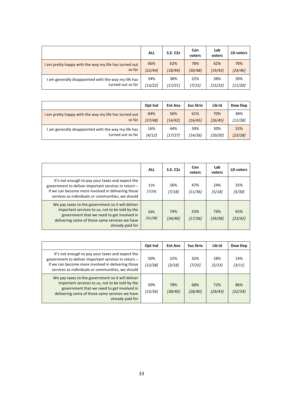|                                                       | <b>ALL</b> | <b>S.E. C2s</b> | Con<br>voters | Lab<br>voters | LD voters |
|-------------------------------------------------------|------------|-----------------|---------------|---------------|-----------|
| I am pretty happy with the way my life has turned out | 66%        | 62%             | 78%           | 62%           | 70%       |
| so far                                                | [22/44]    | [18/44]         | [30/48]       | [19/43]       | [24/46]   |
| am generally disappointed with the way my life has    | 34%        | 38%             | 22%           | 38%           | 30%       |
| turned out so far                                     | [13/22]    | [17/21]         | [7/15]        | [15/23]       | [11/20]   |

|                                                       | Opt Ind | <b>Ent Anx</b> | <b>Sus Striv</b> | Lib Id  | Dow Dep |
|-------------------------------------------------------|---------|----------------|------------------|---------|---------|
| I am pretty happy with the way my life has turned out | 84%     | 56%            | 61%              | 70%     | 48%     |
| so far                                                | [37/48] | [14/42]        | [16/45]          | [26/45] | [11/38] |
| am generally disappointed with the way my life has    | 16%     | 44%            | 39%              | 30%     | 52%     |
| turned out so far                                     | [4/12]  | [17/27]        | [14/26]          | [10/20] | [23/28] |

|                                                                                                                                                                                                                          | <b>ALL</b>     | <b>S.E. C2s</b> | Con<br>voters  | Lab<br>voters  | LD voters      |
|--------------------------------------------------------------------------------------------------------------------------------------------------------------------------------------------------------------------------|----------------|-----------------|----------------|----------------|----------------|
| It's not enough to pay your taxes and expect the<br>government to deliver important services in return -<br>if we can become more involved in delivering those<br>services as individuals or communities, we should      | 31%<br>[7/24]  | 26%<br>[7/18]   | 47%<br>[11/36] | 24%<br>[5/18]  | 35%<br>[5/30]  |
| We pay taxes to the government so it will deliver<br>important services to us, not to be told by the<br>government that we need to get involved in<br>delivering some of those same services we have<br>already paid for | 69%<br>[31/38] | 74%<br>[34/40]  | 53%<br>[17/36] | 76%<br>[39/38] | 65%<br>[23/42] |

|                                                                                                                                                                                                                          | Opt Ind        | <b>Ent Anx</b> | <b>Sus Striv</b> | Lib Id         | Dow Dep        |
|--------------------------------------------------------------------------------------------------------------------------------------------------------------------------------------------------------------------------|----------------|----------------|------------------|----------------|----------------|
| It's not enough to pay your taxes and expect the<br>government to deliver important services in return -<br>if we can become more involved in delivering those<br>services as individuals or communities, we should      | 50%<br>[12/38] | 22%<br>[3/18]  | 32%<br>[7/25]    | 28%<br>[5/23]  | 14%<br>[3/11]  |
| We pay taxes to the government so it will deliver<br>important services to us, not to be told by the<br>government that we need to get involved in<br>delivering some of those same services we have<br>already paid for | 50%<br>[15/36] | 78%<br>[38/40] | 68%<br>[28/40]   | 72%<br>[29/43] | 86%<br>[52/34] |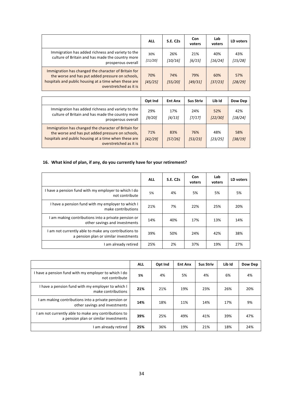|                                                                                                                                                                                             | <b>ALL</b>     | <b>S.E. C2s</b> | Con<br>voters  | Lab<br>voters  | LD voters      |
|---------------------------------------------------------------------------------------------------------------------------------------------------------------------------------------------|----------------|-----------------|----------------|----------------|----------------|
| Immigration has added richness and variety to the<br>culture of Britain and has made the country more<br>prosperous overall                                                                 | 30%<br>[11/20] | 26%<br>[10/16]  | 21%<br>[6/15]  | 40%<br>[16/24] | 43%<br>[15/28] |
| Immigration has changed the character of Britain for<br>the worse and has put added pressure on schools,<br>hospitals and public housing at a time when these are<br>overstretched as it is | 70%<br>[45/25] | 74%<br>[55/20]  | 79%<br>[49/31] | 60%<br>[37/23] | 57%<br>[28/29] |

|                                                                                                                                                                                             | Opt Ind        | <b>Ent Anx</b> | <b>Sus Striv</b> | Lib Id         | Dow Dep        |
|---------------------------------------------------------------------------------------------------------------------------------------------------------------------------------------------|----------------|----------------|------------------|----------------|----------------|
| Immigration has added richness and variety to the<br>culture of Britain and has made the country more<br>prosperous overall                                                                 | 29%<br>[9/20]  | 17%<br>[4/13]  | 24%<br>[7/17]    | 52%<br>[22/30] | 42%<br>[18/24] |
| Immigration has changed the character of Britain for<br>the worse and has put added pressure on schools,<br>hospitals and public housing at a time when these are<br>overstretched as it is | 71%<br>[42/29] | 83%<br>[57/26] | 76%<br>[53/23]   | 48%<br>[23/25] | 58%<br>[38/19] |

### 16. What kind of plan, if any, do you currently have for your retirement?

|                                                                                               | <b>ALL</b> | <b>S.E. C2s</b> | Con<br>voters | Lab<br>voters | LD voters |
|-----------------------------------------------------------------------------------------------|------------|-----------------|---------------|---------------|-----------|
| I have a pension fund with my employer to which I do<br>not contribute                        | 5%         | 4%              | 5%            | 5%            | 5%        |
| I have a pension fund with my employer to which I<br>make contributions                       | 21%        | 7%              | 22%           | 25%           | 20%       |
| I am making contributions into a private pension or<br>other savings and investments          | 14%        | 40%             | 17%           | 13%           | 14%       |
| I am not currently able to make any contributions to<br>a pension plan or similar investments | 39%        | 50%             | 24%           | 42%           | 38%       |
| I am already retired                                                                          | 25%        | 2%              | 37%           | 19%           | 27%       |

|                                                                                             | <b>ALL</b> | Opt Ind | <b>Ent Anx</b> | <b>Sus Striv</b> | Lib Id | Dow Dep |
|---------------------------------------------------------------------------------------------|------------|---------|----------------|------------------|--------|---------|
| I have a pension fund with my employer to which I do<br>not contribute                      | 5%         | 4%      | 5%             | 4%               | 6%     | 4%      |
| I have a pension fund with my employer to which I<br>make contributions                     | 21%        | 21%     | 19%            | 23%              | 26%    | 20%     |
| am making contributions into a private pension or<br>other savings and investments          | 14%        | 18%     | 11%            | 14%              | 17%    | 9%      |
| am not currently able to make any contributions to<br>a pension plan or similar investments | 39%        | 25%     | 49%            | 41%              | 39%    | 47%     |
| am already retired                                                                          | 25%        | 36%     | 19%            | 21%              | 18%    | 24%     |